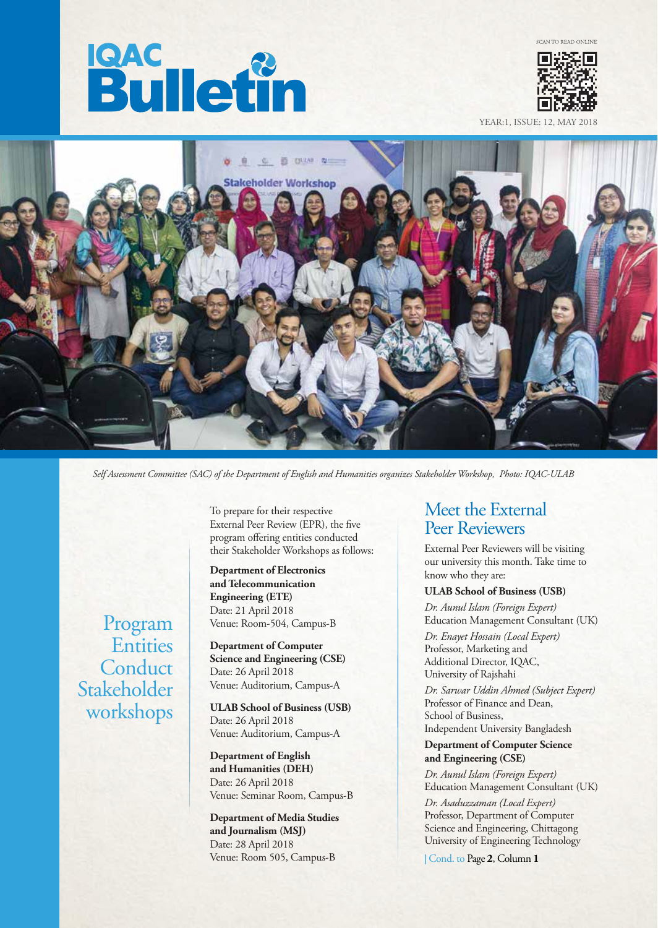



YEAR:1, ISSUE: 12, MAY



*Self Assessment Committee (SAC) of the Department of English and Humanities organizes Stakeholder Workshop, Photo: IQAC-ULAB*

Program **Entities Conduct** Stakeholder workshops

To prepare for their respective External Peer Review (EPR), the five program offering entities conducted their Stakeholder Workshops as follows:

**Department of Electronics and Telecommunication Engineering (ETE)** Date: 21 April 2018 Venue: Room-504, Campus-B

**Department of Computer Science and Engineering (CSE)** Date: 26 April 2018 Venue: Auditorium, Campus-A

**ULAB School of Business (USB)** Date: 26 April 2018 Venue: Auditorium, Campus-A

**Department of English and Humanities (DEH)** Date: 26 April 2018 Venue: Seminar Room, Campus-B

**Department of Media Studies and Journalism (MSJ)** Date: 28 April 2018 Venue: Room 505, Campus-B

## Meet the External Peer Reviewers

External Peer Reviewers will be visiting our university this month. Take time to know who they are:

#### **ULAB School of Business (USB)**

*Dr. Aunul Islam (Foreign Expert)* Education Management Consultant (UK)

*Dr. Enayet Hossain (Local Expert)* Professor, Marketing and Additional Director, IQAC, University of Rajshahi

*Dr. Sarwar Uddin Ahmed (Subject Expert)* Professor of Finance and Dean, School of Business, Independent University Bangladesh

#### **Department of Computer Science and Engineering (CSE)**

*Dr. Aunul Islam (Foreign Expert)* Education Management Consultant (UK)

*Dr. Asaduzzaman (Local Expert)* Professor, Department of Computer Science and Engineering, Chittagong University of Engineering Technology

**|** Cond. to Page **2**, Column **1**